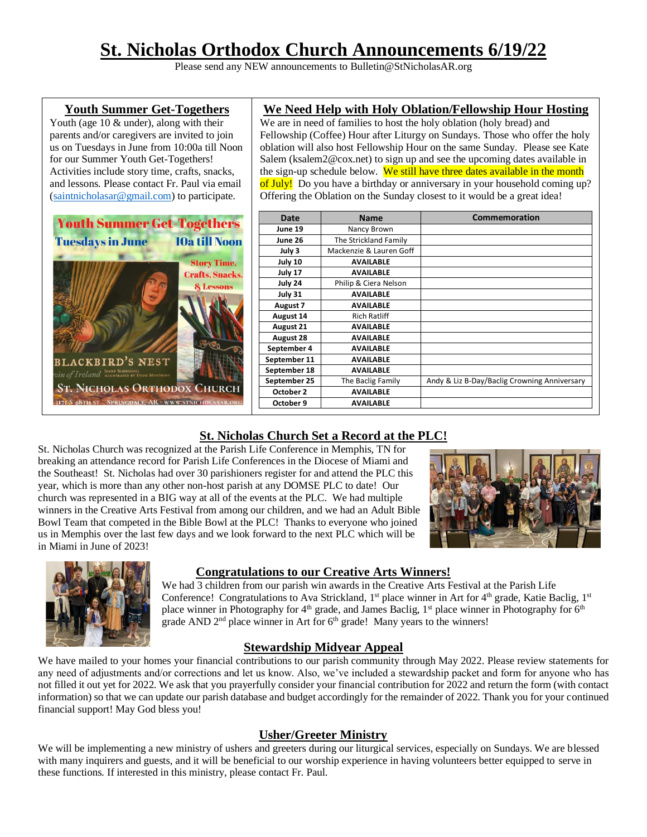# **St. Nicholas Orthodox Church Announcements 6/19/22**

Please send any NEW announcements to Bulletin@StNicholasAR.org

#### **Youth Summer Get-Togethers**

Youth (age 10 & under), along with their parents and/or caregivers are invited to join us on Tuesdays in June from 10:00a till Noon for our Summer Youth Get-Togethers! Activities include story time, crafts, snacks, and lessons. Please contact Fr. Paul via email [\(saintnicholasar@gmail.com\)](mailto:saintnicholasar@gmail.com) to participate.



#### **We Need Help with Holy Oblation/Fellowship Hour Hosting**

We are in need of families to host the holy oblation (holy bread) and Fellowship (Coffee) Hour after Liturgy on Sundays. Those who offer the holy oblation will also host Fellowship Hour on the same Sunday. Please see Kate Salem (ksalem2@cox.net) to sign up and see the upcoming dates available in the sign-up schedule below. We still have three dates available in the month of July! Do you have a birthday or anniversary in your household coming up? Offering the Oblation on the Sunday closest to it would be a great idea!

| Date         | <b>Name</b>             | <b>Commemoration</b>                         |
|--------------|-------------------------|----------------------------------------------|
| June 19      | Nancy Brown             |                                              |
| June 26      | The Strickland Family   |                                              |
| July 3       | Mackenzie & Lauren Goff |                                              |
| July 10      | <b>AVAILABLE</b>        |                                              |
| July 17      | <b>AVAILABLE</b>        |                                              |
| July 24      | Philip & Ciera Nelson   |                                              |
| July 31      | <b>AVAILABLE</b>        |                                              |
| August 7     | <b>AVAILABLE</b>        |                                              |
| August 14    | <b>Rich Ratliff</b>     |                                              |
| August 21    | <b>AVAILABLE</b>        |                                              |
| August 28    | <b>AVAILABLE</b>        |                                              |
| September 4  | <b>AVAILABLE</b>        |                                              |
| September 11 | <b>AVAILABLE</b>        |                                              |
| September 18 | <b>AVAILABLE</b>        |                                              |
| September 25 | The Baclig Family       | Andy & Liz B-Day/Baclig Crowning Anniversary |
| October 2    | <b>AVAILABLE</b>        |                                              |
| October 9    | <b>AVAILABLE</b>        |                                              |

# **St. Nicholas Church Set a Record at the PLC!**

St. Nicholas Church was recognized at the Parish Life Conference in Memphis, TN for breaking an attendance record for Parish Life Conferences in the Diocese of Miami and the Southeast! St. Nicholas had over 30 parishioners register for and attend the PLC this year, which is more than any other non-host parish at any DOMSE PLC to date! Our church was represented in a BIG way at all of the events at the PLC. We had multiple winners in the Creative Arts Festival from among our children, and we had an Adult Bible Bowl Team that competed in the Bible Bowl at the PLC! Thanks to everyone who joined us in Memphis over the last few days and we look forward to the next PLC which will be in Miami in June of 2023!





# **Congratulations to our Creative Arts Winners!**

We had 3 children from our parish win awards in the Creative Arts Festival at the Parish Life Conference! Congratulations to Ava Strickland,  $1<sup>st</sup>$  place winner in Art for  $4<sup>th</sup>$  grade, Katie Baclig,  $1<sup>st</sup>$ place winner in Photography for 4<sup>th</sup> grade, and James Baclig, 1<sup>st</sup> place winner in Photography for 6<sup>th</sup> grade AND 2<sup>nd</sup> place winner in Art for 6<sup>th</sup> grade! Many years to the winners!

# **Stewardship Midyear Appeal**

We have mailed to your homes your financial contributions to our parish community through May 2022. Please review statements for any need of adjustments and/or corrections and let us know. Also, we've included a stewardship packet and form for anyone who has not filled it out yet for 2022. We ask that you prayerfully consider your financial contribution for 2022 and return the form (with contact information) so that we can update our parish database and budget accordingly for the remainder of 2022. Thank you for your continued financial support! May God bless you!

#### **Usher/Greeter Ministry**

We will be implementing a new ministry of ushers and greeters during our liturgical services, especially on Sundays. We are blessed with many inquirers and guests, and it will be beneficial to our worship experience in having volunteers better equipped to serve in these functions. If interested in this ministry, please contact Fr. Paul.